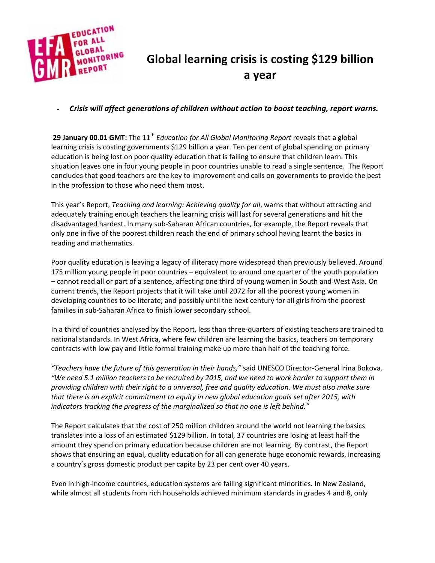

## **Global learning crisis is costing \$129 billion a year**

## **-** *Crisis will affect generations of children without action to boost teaching, report warns.*

29 January 00.01 GMT: The 11<sup>th</sup> *Education for All Global Monitoring Report* reveals that a global learning crisis is costing governments \$129 billion a year. Ten per cent of global spending on primary education is being lost on poor quality education that is failing to ensure that children learn. This situation leaves one in four young people in poor countries unable to read a single sentence. The Report concludes that good teachers are the key to improvement and calls on governments to provide the best in the profession to those who need them most.

This year's Report, *Teaching and learning: Achieving quality for all*, warns that without attracting and adequately training enough teachers the learning crisis will last for several generations and hit the disadvantaged hardest. In many sub-Saharan African countries, for example, the Report reveals that only one in five of the poorest children reach the end of primary school having learnt the basics in reading and mathematics.

Poor quality education is leaving a legacy of illiteracy more widespread than previously believed. Around 175 million young people in poor countries – equivalent to around one quarter of the youth population – cannot read all or part of a sentence, affecting one third of young women in South and West Asia. On current trends, the Report projects that it will take until 2072 for all the poorest young women in developing countries to be literate; and possibly until the next century for all girls from the poorest families in sub-Saharan Africa to finish lower secondary school.

In a third of countries analysed by the Report, less than three-quarters of existing teachers are trained to national standards. In West Africa, where few children are learning the basics, teachers on temporary contracts with low pay and little formal training make up more than half of the teaching force.

*"Teachers have the future of this generation in their hands,"* said UNESCO Director-General Irina Bokova. *"We need 5.1 million teachers to be recruited by 2015, and we need to work harder to support them in providing children with their right to a universal, free and quality education. We must also make sure that there is an explicit commitment to equity in new global education goals set after 2015, with indicators tracking the progress of the marginalized so that no one is left behind."*

The Report calculates that the cost of 250 million children around the world not learning the basics translates into a loss of an estimated \$129 billion. In total, 37 countries are losing at least half the amount they spend on primary education because children are not learning. By contrast, the Report shows that ensuring an equal, quality education for all can generate huge economic rewards, increasing a country's gross domestic product per capita by 23 per cent over 40 years.

Even in high-income countries, education systems are failing significant minorities. In New Zealand, while almost all students from rich households achieved minimum standards in grades 4 and 8, only